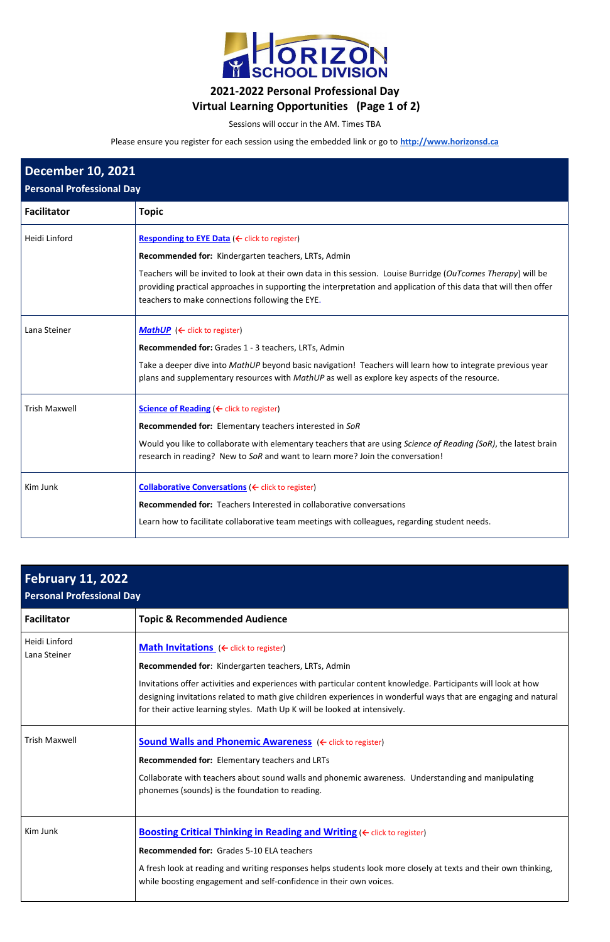

## **2021-2022 Personal Professional Day Virtual Learning Opportunities (Page 1 of 2)**

Sessions will occur in the AM. Times TBA

Please ensure you register for each session using the embedded link or go to **[http://www.horizonsd.ca](http://www.horizonsd.ca/)**

| <b>December 10, 2021</b><br><b>Personal Professional Day</b> |                                                                                                                                                                                                                                                                                                                                                   |  |
|--------------------------------------------------------------|---------------------------------------------------------------------------------------------------------------------------------------------------------------------------------------------------------------------------------------------------------------------------------------------------------------------------------------------------|--|
| <b>Facilitator</b>                                           | <b>Topic</b>                                                                                                                                                                                                                                                                                                                                      |  |
| Heidi Linford                                                | <b>Responding to EYE Data (← click to register)</b><br>Recommended for: Kindergarten teachers, LRTs, Admin<br>Teachers will be invited to look at their own data in this session. Louise Burridge (OuTcomes Therapy) will be<br>providing practical approaches in supporting the interpretation and application of this data that will then offer |  |
|                                                              | teachers to make connections following the EYE.                                                                                                                                                                                                                                                                                                   |  |
| Lana Steiner                                                 | <b>MathUP</b> ( $\leftarrow$ click to register)<br>Recommended for: Grades 1 - 3 teachers, LRTs, Admin<br>Take a deeper dive into MathUP beyond basic navigation! Teachers will learn how to integrate previous year<br>plans and supplementary resources with MathUP as well as explore key aspects of the resource.                             |  |
| <b>Trish Maxwell</b>                                         | Science of Reading (← click to register)<br>Recommended for: Elementary teachers interested in SoR<br>Would you like to collaborate with elementary teachers that are using Science of Reading (SoR), the latest brain<br>research in reading? New to SoR and want to learn more? Join the conversation!                                          |  |
| Kim Junk                                                     | Collaborative Conversations (← click to register)<br><b>Recommended for: Teachers Interested in collaborative conversations</b><br>Learn how to facilitate collaborative team meetings with colleagues, regarding student needs.                                                                                                                  |  |

| <b>February 11, 2022</b><br><b>Personal Professional Day</b> |                                                                                                                                                                                                                                                                                                                                                                                                                                    |  |
|--------------------------------------------------------------|------------------------------------------------------------------------------------------------------------------------------------------------------------------------------------------------------------------------------------------------------------------------------------------------------------------------------------------------------------------------------------------------------------------------------------|--|
| <b>Facilitator</b>                                           | <b>Topic &amp; Recommended Audience</b>                                                                                                                                                                                                                                                                                                                                                                                            |  |
| Heidi Linford<br>Lana Steiner                                | <b>Math Invitations</b> ( $\leftarrow$ click to register)<br>Recommended for: Kindergarten teachers, LRTs, Admin<br>Invitations offer activities and experiences with particular content knowledge. Participants will look at how<br>designing invitations related to math give children experiences in wonderful ways that are engaging and natural<br>for their active learning styles. Math Up K will be looked at intensively. |  |
| <b>Trish Maxwell</b>                                         | <b>Sound Walls and Phonemic Awareness</b> ( Fick to register)<br>Recommended for: Elementary teachers and LRTs<br>Collaborate with teachers about sound walls and phonemic awareness. Understanding and manipulating<br>phonemes (sounds) is the foundation to reading.                                                                                                                                                            |  |
| Kim Junk                                                     | <b>Boosting Critical Thinking in Reading and Writing (</b> < click to register)<br><b>Recommended for: Grades 5-10 ELA teachers</b><br>A fresh look at reading and writing responses helps students look more closely at texts and their own thinking,<br>while boosting engagement and self-confidence in their own voices.                                                                                                       |  |